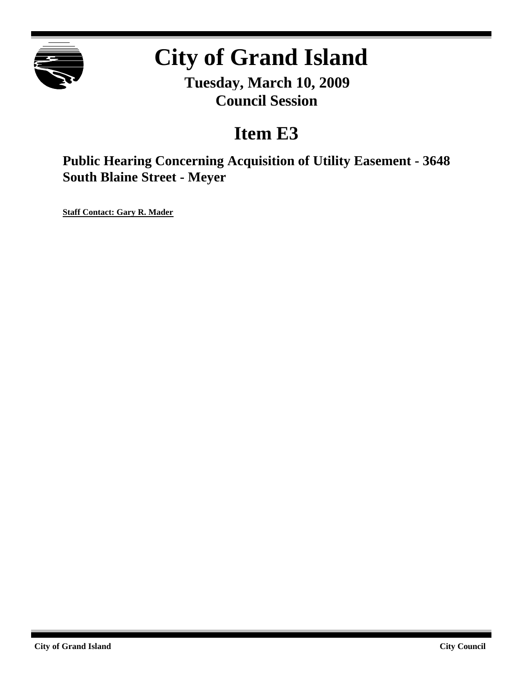

# **City of Grand Island**

**Tuesday, March 10, 2009 Council Session**

# **Item E3**

**Public Hearing Concerning Acquisition of Utility Easement - 3648 South Blaine Street - Meyer**

**Staff Contact: Gary R. Mader**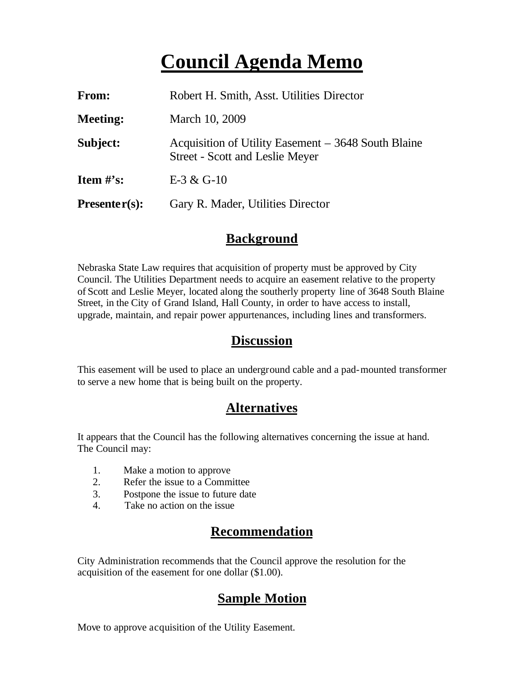## **Council Agenda Memo**

| From:           | Robert H. Smith, Asst. Utilities Director                                                     |
|-----------------|-----------------------------------------------------------------------------------------------|
| <b>Meeting:</b> | March 10, 2009                                                                                |
| Subject:        | Acquisition of Utility Easement – 3648 South Blaine<br><b>Street - Scott and Leslie Meyer</b> |
| Item $\#$ 's:   | E-3 & G-10                                                                                    |
| $Presenter(s):$ | Gary R. Mader, Utilities Director                                                             |

#### **Background**

Nebraska State Law requires that acquisition of property must be approved by City Council. The Utilities Department needs to acquire an easement relative to the property of Scott and Leslie Meyer, located along the southerly property line of 3648 South Blaine Street, in the City of Grand Island, Hall County, in order to have access to install, upgrade, maintain, and repair power appurtenances, including lines and transformers.

#### **Discussion**

This easement will be used to place an underground cable and a pad-mounted transformer to serve a new home that is being built on the property.

#### **Alternatives**

It appears that the Council has the following alternatives concerning the issue at hand. The Council may:

- 1. Make a motion to approve
- 2. Refer the issue to a Committee
- 3. Postpone the issue to future date
- 4. Take no action on the issue

### **Recommendation**

City Administration recommends that the Council approve the resolution for the acquisition of the easement for one dollar (\$1.00).

### **Sample Motion**

Move to approve acquisition of the Utility Easement.